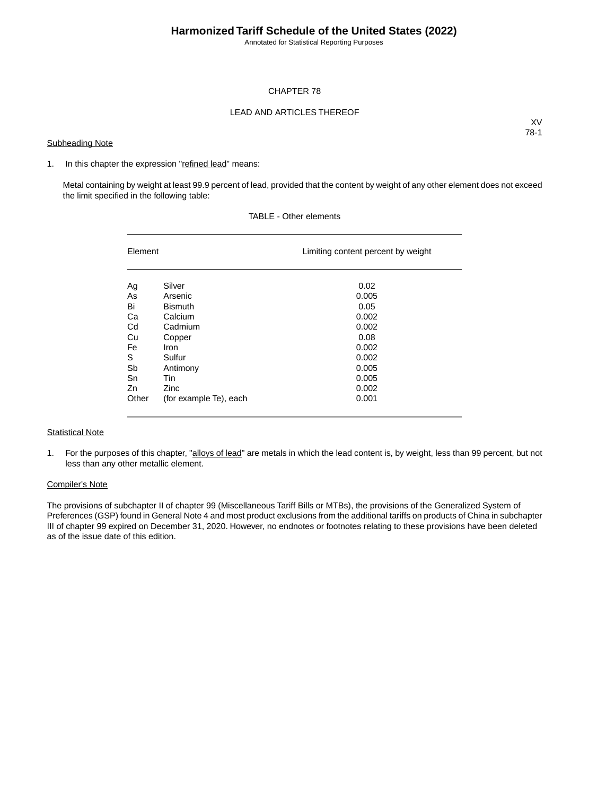Annotated for Statistical Reporting Purposes

### CHAPTER 78

### LEAD AND ARTICLES THEREOF

#### **Subheading Note**

XV 78-1

#### 1. In this chapter the expression "refined lead" means:

Metal containing by weight at least 99.9 percent of lead, provided that the content by weight of any other element does not exceed the limit specified in the following table:

| Element |                        | Limiting content percent by weight |
|---------|------------------------|------------------------------------|
| Ag      | Silver                 | 0.02                               |
| As      | Arsenic                | 0.005                              |
| Bi      | <b>Bismuth</b>         | 0.05                               |
| Ca      | Calcium                | 0.002                              |
| Cd      | Cadmium                | 0.002                              |
| Cu      | Copper                 | 0.08                               |
| Fe      | Iron                   | 0.002                              |
| S       | Sulfur                 | 0.002                              |
| Sb      | Antimony               | 0.005                              |
| Sn      | Tin                    | 0.005                              |
| Zn      | Zinc                   | 0.002                              |
| Other   | (for example Te), each | 0.001                              |

## TABLE - Other elements

#### **Statistical Note**

1. For the purposes of this chapter, "alloys of lead" are metals in which the lead content is, by weight, less than 99 percent, but not less than any other metallic element.

#### Compiler's Note

The provisions of subchapter II of chapter 99 (Miscellaneous Tariff Bills or MTBs), the provisions of the Generalized System of Preferences (GSP) found in General Note 4 and most product exclusions from the additional tariffs on products of China in subchapter III of chapter 99 expired on December 31, 2020. However, no endnotes or footnotes relating to these provisions have been deleted as of the issue date of this edition.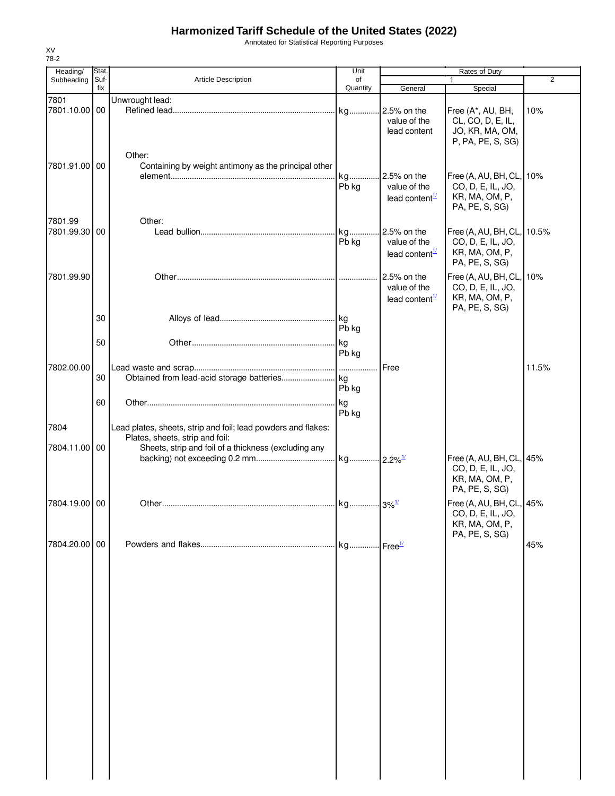Annotated for Statistical Reporting Purposes

| Heading/                 | Stat.       |                                                                                         | Unit           | Rates of Duty                                               |                                                                                                        |       |
|--------------------------|-------------|-----------------------------------------------------------------------------------------|----------------|-------------------------------------------------------------|--------------------------------------------------------------------------------------------------------|-------|
| Subheading               | Suf-<br>fix | Article Description                                                                     | of<br>Quantity | General                                                     | $\mathbf{1}$<br>Special                                                                                | 2     |
| 7801<br>7801.10.00 00    |             | Unwrought lead:                                                                         |                | 2.5% on the<br>value of the<br>lead content                 | Free (A*, AU, BH,<br>CL, CO, D, E, IL,<br>JO, KR, MA, OM,                                              | 10%   |
| 7801.91.00 00            |             | Other:<br>Containing by weight antimony as the principal other                          | kg<br>Pb kg    | 2.5% on the<br>value of the<br>lead content $\frac{1}{2}$   | P, PA, PE, S, SG)<br>Free (A, AU, BH, CL, 10%<br>CO, D, E, IL, JO,<br>KR, MA, OM, P,<br>PA, PE, S, SG) |       |
| 7801.99<br>7801.99.30 00 |             | Other:                                                                                  | kg<br>Pb kg    | $.25%$ on the<br>value of the<br>lead content $\frac{1}{2}$ | Free (A, AU, BH, CL, 10.5%<br>CO, D, E, IL, JO,<br>KR, MA, OM, P,<br>PA, PE, S, SG)                    |       |
| 7801.99.90               |             |                                                                                         |                | 2.5% on the<br>value of the<br>lead content <sup>1/</sup>   | Free (A, AU, BH, CL,<br>CO, D, E, IL, JO,<br>KR, MA, OM, P,<br>PA, PE, S, SG)                          | 10%   |
|                          | 30<br>50    |                                                                                         | Pb kg          |                                                             |                                                                                                        |       |
| 7802.00.00               |             |                                                                                         | Pb kg          | Free                                                        |                                                                                                        | 11.5% |
|                          | 30<br>60    |                                                                                         | Pb kg<br>kg    |                                                             |                                                                                                        |       |
| 7804                     |             | Lead plates, sheets, strip and foil; lead powders and flakes:                           | Pb kg          |                                                             |                                                                                                        |       |
| 7804.11.00 00            |             | Plates, sheets, strip and foil:<br>Sheets, strip and foil of a thickness (excluding any |                |                                                             | Free (A, AU, BH, CL, 45%<br>CO, D, E, IL, JO,<br>KR, MA, OM, P,<br>PA, PE, S, SG)                      |       |
| 7804.19.00 00            |             |                                                                                         |                |                                                             | Free (A, AU, BH, CL, 45%<br>CO, D, E, IL, JO,<br>KR, MA, OM, P,                                        |       |
| 7804.20.00 00            |             |                                                                                         |                |                                                             | PA, PE, S, SG)                                                                                         | 45%   |
|                          |             |                                                                                         |                |                                                             |                                                                                                        |       |
|                          |             |                                                                                         |                |                                                             |                                                                                                        |       |
|                          |             |                                                                                         |                |                                                             |                                                                                                        |       |
|                          |             |                                                                                         |                |                                                             |                                                                                                        |       |
|                          |             |                                                                                         |                |                                                             |                                                                                                        |       |
|                          |             |                                                                                         |                |                                                             |                                                                                                        |       |

XV 78-2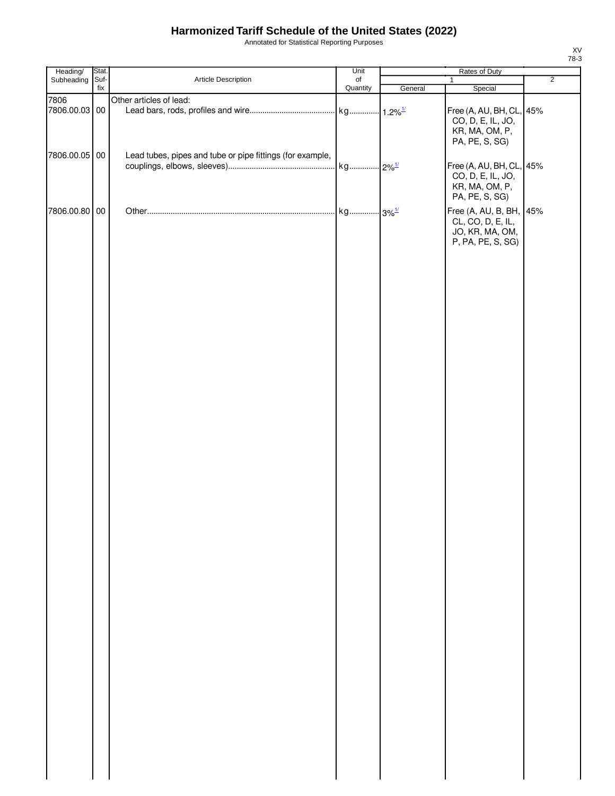Annotated for Statistical Reporting Purposes

| Heading/      | Stat. |                                                           | Unit      | Rates of Duty |                                                                                      |                |
|---------------|-------|-----------------------------------------------------------|-----------|---------------|--------------------------------------------------------------------------------------|----------------|
| Subheading    | Suf-  | Article Description                                       | $\circ$ f |               | $\mathbf{1}$                                                                         | $\overline{2}$ |
|               | fix   |                                                           | Quantity  | General       | Special                                                                              |                |
| 7806          |       | Other articles of lead:                                   |           |               |                                                                                      |                |
| 7806.00.03 00 |       |                                                           |           |               | Free (A, AU, BH, CL, 45%<br>CO, D, E, IL, JO,<br>KR, MA, OM, P,<br>PA, PE, S, SG)    |                |
| 7806.00.05 00 |       | Lead tubes, pipes and tube or pipe fittings (for example, |           |               | Free (A, AU, BH, CL, 45%<br>CO, D, E, IL, JO,<br>KR, MA, OM, P,<br>PA, PE, S, SG)    |                |
| 7806.00.80 00 |       |                                                           |           |               | Free (A, AU, B, BH, 45%<br>CL, CO, D, E, IL,<br>JO, KR, MA, OM,<br>P, PA, PE, S, SG) |                |
|               |       |                                                           |           |               |                                                                                      |                |
|               |       |                                                           |           |               |                                                                                      |                |
|               |       |                                                           |           |               |                                                                                      |                |
|               |       |                                                           |           |               |                                                                                      |                |
|               |       |                                                           |           |               |                                                                                      |                |
|               |       |                                                           |           |               |                                                                                      |                |
|               |       |                                                           |           |               |                                                                                      |                |
|               |       |                                                           |           |               |                                                                                      |                |
|               |       |                                                           |           |               |                                                                                      |                |

XV 78-3